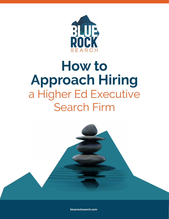

# **How to Approach Hiring** a Higher Ed Executive Search Firm



**bluerocksearch.com**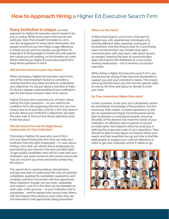# **How to Approach Hiring** a Higher Ed Executive Search Firm

#### **Every institution is unique,** so every

approach to Higher Ed executive search needs to be just as unique. While every search firm has its own particular style, that shouldn't translate to a onesize-fits-all approach to every client. Remember: the people (and firms) you hire make a huge difference in where you go and how quickly you get there. It's imperative to bring people on board who will support the culture you are building, on the timeline you want. When selecting an Higher Ed executive search firm, keep these questions in mind.

#### **Will the Firm Invest to Learn Your Goals?**

When choosing a Highter Ed executive search firm, one of the most important factors to consider is whether that firm truly takes the time to understand your objectives. It's not just about a checklist of traits – it's about a deeper understanding of your institution's plan for the future and your vision of its culture.

Higher Ed executive searches are, at heart, about asking the right questions – so you need to be confident from the beginning that the firm you hire knows how to do just that. Look for a firm that doesn't just ask about your institution's objectives, but goes the extra mile to find out why those objectives exist in the first place.

#### **Will the Search Firm Be the Right Brand Ambassador for Your Institution?**

Choosing a Highter Ed executive search firm isn't just about finding the firm that can help your institution hire the right employees – it's also about finding a firm that can attract those employees by representing your brand in the best possible light. To get quality candidates who will fit in well with your institution, you need someone who comes across the way you would if you were personally conducting the search.

The search firm's representatives should listen actively and seek to understand the view of potential candidates, guiding the candidate's experience and creating a positive connection with the opportunity. Most important, though, are two traits: relatability and respect. Look for a firm that can be relatable on both sides of the process – to your institution and to candidates – and for people who always treat others with the respect they deserve, even when they are not interested in the opportunity being presented.

#### **Who Is on the Team?**

At Blue Rock Search, you'll have a full team to support you, with experienced individuals who all bring different skills, expertise, and types of involvement. One key thing to look for is prioritizing open communication: you should have open communication with your team, with direct access as needed. Keeping the lines of communication open will improve the likelihood of a successful working relationship – not to mention successful searches!

When hiring a Higher Ed executive search firm, you should also be asking if they have the bandwidth to support you and your institution's needs. This means ensuring that the team you hire has the specific skills as well as the time and space to devote to what you need.

#### **Do They Understand Higher Education?**

A basic question, to be sure, but it absolutely cannot be overlooked. Knowledge of the positions and the necessary skills matter, as does experience on the job. An experienced Higher Ed professional will be able to become a consultative partner, ensuring the skills of the desired role meet the needs of your institution. An effective search partner is not just an order taker, but instead is there to assist you in defining the scope and scale of your requisition. They should be able to help figure out exactly where your needs and their expertise line up and how to find the right people to support your cultural objectives in order to get your institution where it needs to go.

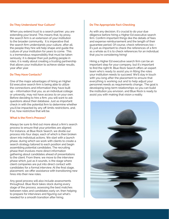#### **Do They Understand Your Culture?**

When you extend trust to a search partner, you are extending your brand. This means that, by proxy, the search firm is an extension of your institution to the broader community. It is imperative that the search firm understands your culture, after all, the people they hire will help shape and guide the culture of your institution for years to come. This is a tremendous responsibility that must be taken seriously; it is deeper than just putting people in roles, it is really about creating a trusting partnership that allows your institution to achieve stellar results, year after year.

#### **Do They Have Contacts?**

One of the major advantages of hiring an Higher Ed executive search firm is being able to utilize the connections and information they have built up – information that you, as an individual college or university, may not have access to on your own. Before deciding to hire a firm, you will want to ask questions about their database. Just as important: check in with the potential firm to determine whether you'll be impacted by any off-limits restrictions, and, if so, how restrictive that will be.

#### **What Is the Firm's Process?**

Always be sure to find out more about a firm's search process to ensure that your priorities are aligned. For instance, at Blue Rock Search, we divide our process into four steps, each of which is then broken down into individual actions. We start with a launch phase, during which we work with clients to create a search strategy tailored to each position and begin assembling potential candidates. The recruiting phase then involves more direct information gathering about candidates ahead of presentations to the client. From there, we move to the interview phase which, just as it sounds, is the stage where client companies are put into direct contact with candidates for a formal interview. At the final stage, placement, we offer assistance with transitioning new hires into their new roles.

Any good process will also include assessments throughout. Blue Rock takes stock during every stage of the process, assessing the best matches between roles and candidates early on, then helping to prepare for interviews and figuring out what's needed for a smooth transition after hiring.

#### **Do The Appropriate Fact-Checking**

As with any decision, it's crucial to do your due diligence before hiring a Higher Ed executive search firm. Confirm important things like the details of fees and expense reimbursement and the length of their guarantee period. Of course, check references too – it's just as important to check the references of a firm as a whole as it is to check references for an individual that you're considering hiring!

Hiring a Higher Ed executive search firm can be an important step for your company, but it's important to find the right fit. Blue Rock Search offers an expert team who's ready to assist you in filling the roles your institution needs to succeed. We'll stay in touch with you long after the placement to ensure that everything is working out and to help adjust your personnel needs as requirements change.. The goal is developing long-term relationships so you can build the institution you envision, and Blue Rock is ready to assist you with making that vision a reality.